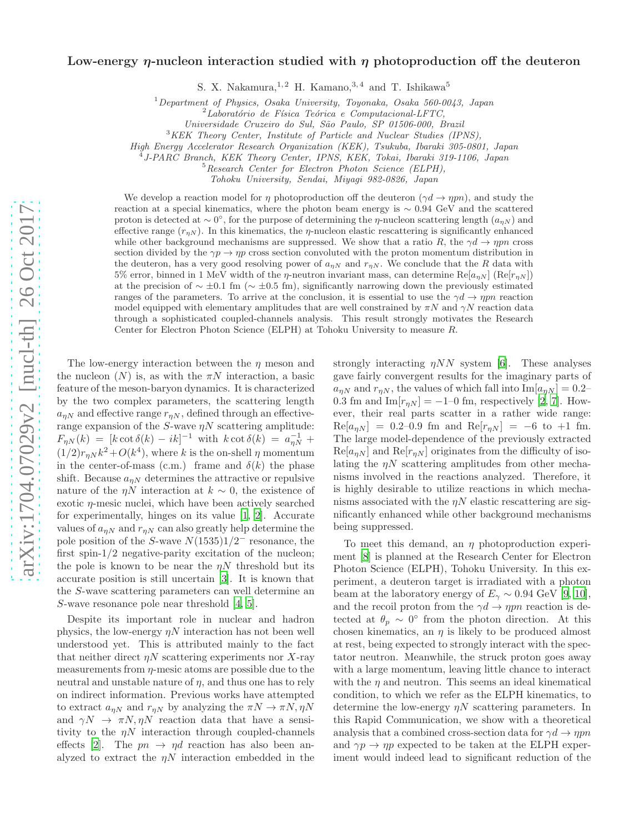## Low-energy  $\eta$ -nucleon interaction studied with  $\eta$  photoproduction off the deuteron

S. X. Nakamura,  $^{1,2}$  H. Kamano,  $^{3,4}$  and T. Ishikawa<sup>5</sup>

 $1$ Department of Physics, Osaka University, Toyonaka, Osaka 560-0043, Japan

 $2$ Laboratório de Física Teórica e Computacional-LFTC,

Universidade Cruzeiro do Sul, S˜ao Paulo, SP 01506-000, Brazil

<sup>3</sup>KEK Theory Center, Institute of Particle and Nuclear Studies (IPNS),

High Energy Accelerator Research Organization (KEK), Tsukuba, Ibaraki 305-0801, Japan

4 J-PARC Branch, KEK Theory Center, IPNS, KEK, Tokai, Ibaraki 319-1106, Japan

<sup>5</sup>Research Center for Electron Photon Science (ELPH),

Tohoku University, Sendai, Miyagi 982-0826, Japan

We develop a reaction model for  $\eta$  photoproduction off the deuteron  $(\gamma d \rightarrow \eta pn)$ , and study the reaction at a special kinematics, where the photon beam energy is ∼ 0.94 GeV and the scattered proton is detected at  $\sim 0^{\circ}$ , for the purpose of determining the  $\eta$ -nucleon scattering length  $(a_{\eta N})$  and effective range  $(r_{nN})$ . In this kinematics, the  $\eta$ -nucleon elastic rescattering is significantly enhanced while other background mechanisms are suppressed. We show that a ratio R, the  $\gamma d \to \eta pn$  cross section divided by the  $\gamma p \to \eta p$  cross section convoluted with the proton momentum distribution in the deuteron, has a very good resolving power of  $a_{\eta N}$  and  $r_{\eta N}$ . We conclude that the R data with 5% error, binned in 1 MeV width of the  $\eta$ -neutron invariant mass, can determine Re $[a_{\eta N}]$  (Re $[r_{\eta N}]$ ) at the precision of  $\sim \pm 0.1$  fm ( $\sim \pm 0.5$  fm), significantly narrowing down the previously estimated ranges of the parameters. To arrive at the conclusion, it is essential to use the  $\gamma d \to \eta p n$  reaction model equipped with elementary amplitudes that are well constrained by  $\pi N$  and  $\gamma N$  reaction data through a sophisticated coupled-channels analysis. This result strongly motivates the Research Center for Electron Photon Science (ELPH) at Tohoku University to measure R.

The low-energy interaction between the  $\eta$  meson and the nucleon  $(N)$  is, as with the  $\pi N$  interaction, a basic feature of the meson-baryon dynamics. It is characterized by the two complex parameters, the scattering length  $a_{\eta N}$  and effective range  $r_{\eta N}$ , defined through an effectiverange expansion of the S-wave  $\eta N$  scattering amplitude:  $F_{\eta N}(k) = [k \cot \delta(k) - i k]^{-1}$  with  $k \cot \delta(k) = a_{\eta N}^{-1}$  $(1/2)r_{\eta N}k^2+O(k^4)$ , where k is the on-shell  $\eta$  momentum in the center-of-mass (c.m.) frame and  $\delta(k)$  the phase shift. Because  $a_{nN}$  determines the attractive or repulsive nature of the  $\eta N$  interaction at  $k \sim 0$ , the existence of exotic  $\eta$ -mesic nuclei, which have been actively searched for experimentally, hinges on its value [\[1,](#page-5-0) [2\]](#page-5-1). Accurate values of  $a_{\eta N}$  and  $r_{\eta N}$  can also greatly help determine the pole position of the S-wave  $N(1535)1/2^-$  resonance, the first spin-1/2 negative-parity excitation of the nucleon; the pole is known to be near the  $\eta N$  threshold but its accurate position is still uncertain [\[3\]](#page-5-2). It is known that the S-wave scattering parameters can well determine an S-wave resonance pole near threshold [\[4,](#page-5-3) [5\]](#page-5-4).

Despite its important role in nuclear and hadron physics, the low-energy  $nN$  interaction has not been well understood yet. This is attributed mainly to the fact that neither direct  $\eta N$  scattering experiments nor X-ray measurements from  $\eta$ -mesic atoms are possible due to the neutral and unstable nature of  $\eta$ , and thus one has to rely on indirect information. Previous works have attempted to extract  $a_{\eta N}$  and  $r_{\eta N}$  by analyzing the  $\pi N \to \pi N, \eta N$ and  $\gamma N \to \pi N, \eta N$  reaction data that have a sensitivity to the  $\eta N$  interaction through coupled-channels effects [\[2\]](#page-5-1). The  $pn \rightarrow \eta d$  reaction has also been analyzed to extract the  $\eta N$  interaction embedded in the

strongly interacting  $\eta NN$  system [\[6](#page-5-5)]. These analyses gave fairly convergent results for the imaginary parts of  $a_{nN}$  and  $r_{nN}$ , the values of which fall into  $\text{Im}[a_{nN}] = 0.2-$ 0.3 fm and  $\text{Im}[r_{\eta N}] = -1$ –0 fm, respectively [\[2,](#page-5-1) [7\]](#page-5-6). However, their real parts scatter in a rather wide range:  $\text{Re}[a_{nN}] = 0.2{\text{-}}0.9 \text{ fm and } \text{Re}[r_{nN}] = -6 \text{ to } +1 \text{ fm}.$ The large model-dependence of the previously extracted  $\text{Re}[a_{nN}]$  and  $\text{Re}[r_{nN}]$  originates from the difficulty of isolating the  $\eta N$  scattering amplitudes from other mechanisms involved in the reactions analyzed. Therefore, it is highly desirable to utilize reactions in which mechanisms associated with the  $\eta N$  elastic rescattering are significantly enhanced while other background mechanisms being suppressed.

To meet this demand, an  $\eta$  photoproduction experiment [\[8](#page-5-7)] is planned at the Research Center for Electron Photon Science (ELPH), Tohoku University. In this experiment, a deuteron target is irradiated with a photon beam at the laboratory energy of  $E_{\gamma} \sim 0.94 \text{ GeV}$  [\[9,](#page-5-8) [10\]](#page-5-9), and the recoil proton from the  $\gamma d \to \eta pn$  reaction is detected at  $\theta_p \sim 0^{\circ}$  from the photon direction. At this chosen kinematics, an  $\eta$  is likely to be produced almost at rest, being expected to strongly interact with the spectator neutron. Meanwhile, the struck proton goes away with a large momentum, leaving little chance to interact with the  $\eta$  and neutron. This seems an ideal kinematical condition, to which we refer as the ELPH kinematics, to determine the low-energy  $\eta N$  scattering parameters. In this Rapid Communication, we show with a theoretical analysis that a combined cross-section data for  $\gamma d \to \eta pn$ and  $\gamma p \to \eta p$  expected to be taken at the ELPH experiment would indeed lead to significant reduction of the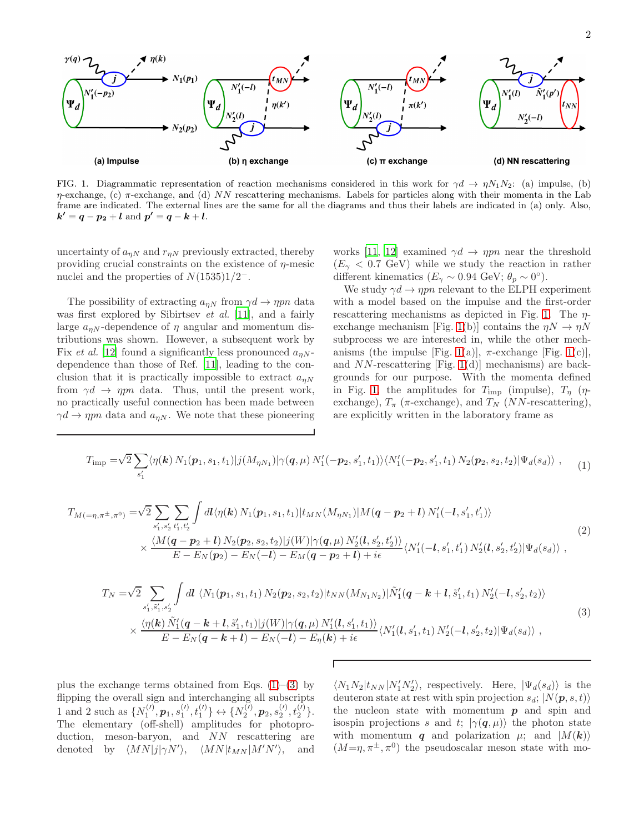

<span id="page-1-0"></span>FIG. 1. Diagrammatic representation of reaction mechanisms considered in this work for  $\gamma d \to \eta N_1N_2$ : (a) impulse, (b)  $η$ -exchange, (c) π-exchange, and (d) NN rescattering mechanisms. Labels for particles along with their momenta in the Lab frame are indicated. The external lines are the same for all the diagrams and thus their labels are indicated in (a) only. Also,  $k' = q - p_2 + l$  and  $p' = q - k + l$ .

uncertainty of  $a_{\eta N}$  and  $r_{\eta N}$  previously extracted, thereby providing crucial constraints on the existence of  $\eta$ -mesic nuclei and the properties of  $N(1535)1/2^-$ .

The possibility of extracting  $a_{\eta N}$  from  $\gamma d \to \eta pn$  data was first explored by Sibirtsev *et al.* [\[11\]](#page-5-10), and a fairly large  $a_{nN}$ -dependence of  $\eta$  angular and momentum distributions was shown. However, a subsequent work by Fix *et al.* [\[12\]](#page-5-11) found a significantly less pronounced  $a_{nN}$ dependence than those of Ref. [\[11](#page-5-10)], leading to the conclusion that it is practically impossible to extract  $a_{nN}$ from  $\gamma d \rightarrow \eta p n$  data. Thus, until the present work, no practically useful connection has been made between  $\gamma d \to \eta pn$  data and  $a_{nN}$ . We note that these pioneering works [\[11](#page-5-10), [12](#page-5-11)] examined  $\gamma d \to \eta pn$  near the threshold  $(E_{\gamma} < 0.7 \text{ GeV})$  while we study the reaction in rather different kinematics ( $E_{\gamma} \sim 0.94 \text{ GeV}; \ \theta_p \sim 0^{\circ}$ ).

We study  $\gamma d \to \eta pn$  relevant to the ELPH experiment with a model based on the impulse and the first-order rescattering mechanisms as depicted in Fig. [1.](#page-1-0) The  $\eta$ -exchange mechanism [Fig. [1\(](#page-1-0)b)] contains the  $\eta N \to \eta N$ subprocess we are interested in, while the other mech-anisms (the impulse [Fig. [1\(](#page-1-0)a)],  $\pi$ -exchange [Fig. 1(c)], and  $NN$ -rescattering [Fig. [1\(](#page-1-0)d)] mechanisms) are backgrounds for our purpose. With the momenta defined in Fig. [1,](#page-1-0) the amplitudes for  $T_{\text{imp}}$  (impulse),  $T_n$  ( $\eta$ exchange),  $T_{\pi}$  ( $\pi$ -exchange), and  $T_N$  (NN-rescattering), are explicitly written in the laboratory frame as

<span id="page-1-1"></span>
$$
T_{\rm imp} = \sqrt{2} \sum_{s_1'} \langle \eta(\mathbf{k}) N_1(\mathbf{p}_1, s_1, t_1) | j(M_{\eta N_1}) | \gamma(\mathbf{q}, \mu) N_1'(-\mathbf{p}_2, s_1', t_1) \rangle \langle N_1'(-\mathbf{p}_2, s_1', t_1) N_2(\mathbf{p}_2, s_2, t_2) | \Psi_d(s_d) \rangle , \tag{1}
$$

$$
T_{M(-\eta,\pi^{\pm},\pi^{0})} = \sqrt{2} \sum_{s'_{1},s'_{2}} \sum_{t'_{1},t'_{2}} \int dl \langle \eta(\mathbf{k}) N_{1}(\mathbf{p}_{1},s_{1},t_{1}) | t_{MN} (M_{\eta N_{1}}) | M(\mathbf{q}-\mathbf{p}_{2}+\mathbf{l}) N'_{1}(-\mathbf{l},s'_{1},t'_{1}) \rangle
$$
  
 
$$
\times \frac{\langle M(\mathbf{q}-\mathbf{p}_{2}+\mathbf{l}) N_{2}(\mathbf{p}_{2},s_{2},t_{2}) | j(W) | \gamma(\mathbf{q},\mu) N'_{2}(\mathbf{l},s'_{2},t'_{2}) \rangle}{E - E_{N}(\mathbf{p}_{2}) - E_{N}(-\mathbf{l}) - E_{M}(\mathbf{q}-\mathbf{p}_{2}+\mathbf{l}) + i\epsilon} \langle N'_{1}(-\mathbf{l},s'_{1},t'_{1}) N'_{2}(\mathbf{l},s'_{2},t'_{2}) | \Psi_{d}(s_{d}) \rangle ,
$$
\n(2)

<span id="page-1-2"></span>
$$
T_N = \sqrt{2} \sum_{s'_1, \tilde{s}'_1, s'_2} \int dl \langle N_1(p_1, s_1, t_1) N_2(p_2, s_2, t_2) | t_{NN}(M_{N_1 N_2}) | \tilde{N}'_1(q - k + l, \tilde{s}'_1, t_1) N'_2(-l, s'_2, t_2) \rangle
$$
  
 
$$
\times \frac{\langle \eta(k) \tilde{N}'_1(q - k + l, \tilde{s}'_1, t_1) | j(W) | \gamma(q, \mu) N'_1(l, s'_1, t_1) \rangle}{E - E_N(q - k + l) - E_N(-l) - E_\eta(k) + i\epsilon} \langle N'_1(l, s'_1, t_1) N'_2(-l, s'_2, t_2) | \Psi_d(s_d) \rangle ,
$$
\n(3)

plus the exchange terms obtained from Eqs.  $(1)$ – $(3)$  by flipping the overall sign and interchanging all subscripts 1 and 2 such as  $\{N_1^{(l)}, \mathbf{p}_1, s_1^{(l)}, t_1^{(l)}\} \leftrightarrow \{N_2^{(l)}, \mathbf{p}_2, s_2^{(l)}, t_2^{(l)}\}.$ The elementary (off-shell) amplitudes for photoproduction, meson-baryon, and NN rescattering are denoted by  $\langle MN|j|\gamma N'\rangle$ ,  $\langle MN|t_{MN}|M'N'\rangle$ , and

 $\langle N_1 N_2 | t_{NN} | N_1' N_2' \rangle$ , respectively. Here,  $|\Psi_d(s_d)\rangle$  is the deuteron state at rest with spin projection  $s_d$ ;  $|N(\boldsymbol{p}, s, t)\rangle$ the nucleon state with momentum  $p$  and spin and isospin projections s and t;  $|\gamma(q,\mu)\rangle$  the photon state with momentum q and polarization  $\mu$ ; and  $|M(\mathbf{k})\rangle$  $(M=\eta,\pi^{\pm},\pi^{0})$  the pseudoscalar meson state with mo-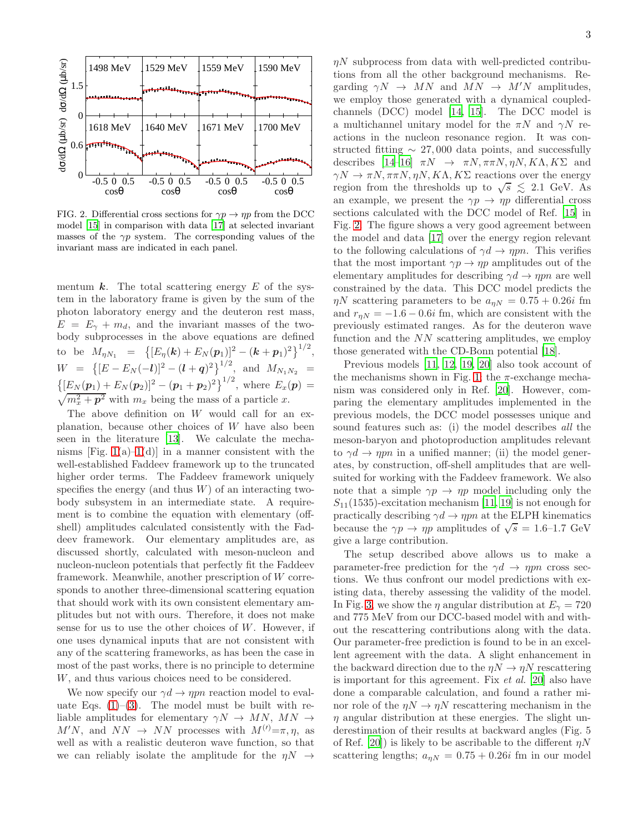

<span id="page-2-0"></span>FIG. 2. Differential cross sections for  $\gamma p \to \eta p$  from the DCC model [\[15](#page-5-12)] in comparison with data [\[17](#page-5-13)] at selected invariant masses of the  $\gamma p$  system. The corresponding values of the invariant mass are indicated in each panel.

mentum  $k$ . The total scattering energy  $E$  of the system in the laboratory frame is given by the sum of the photon laboratory energy and the deuteron rest mass,  $E = E_{\gamma} + m_d$ , and the invariant masses of the twobody subprocesses in the above equations are defined to be  $M_{\eta N_1} = \{ [E_{\eta}(\mathbf{k}) + E_N(\mathbf{p}_1)]^2 - (\mathbf{k} + \mathbf{p}_1)^2 \}^{1/2},$  $W = \{ [E - E_N(-l)]^2 - (l + q)^2 \}^{1/2}, \text{ and } M_{N_1 N_2} =$  $\left\{ \left[E_N(\mathbf{p}_1) + E_N(\mathbf{p}_2)\right]^2 - (\mathbf{p}_1 + \mathbf{p}_2)^2 \right\}^{1/2}$ , where  $E_x(\mathbf{p}) =$  $\sqrt{m_x^2 + \mathbf{p}^2}$  with  $m_x$  being the mass of a particle x.

The above definition on  $W$  would call for an explanation, because other choices of W have also been seen in the literature [\[13\]](#page-5-14). We calculate the mechanisms [Fig.  $1(a)-1(d)$  $1(a)-1(d)$ ] in a manner consistent with the well-established Faddeev framework up to the truncated higher order terms. The Faddeev framework uniquely specifies the energy (and thus  $W$ ) of an interacting twobody subsystem in an intermediate state. A requirement is to combine the equation with elementary (offshell) amplitudes calculated consistently with the Faddeev framework. Our elementary amplitudes are, as discussed shortly, calculated with meson-nucleon and nucleon-nucleon potentials that perfectly fit the Faddeev framework. Meanwhile, another prescription of W corresponds to another three-dimensional scattering equation that should work with its own consistent elementary amplitudes but not with ours. Therefore, it does not make sense for us to use the other choices of  $W$ . However, if one uses dynamical inputs that are not consistent with any of the scattering frameworks, as has been the case in most of the past works, there is no principle to determine W, and thus various choices need to be considered.

We now specify our  $\gamma d \to \eta pn$  reaction model to evaluate Eqs.  $(1)$ – $(3)$ . The model must be built with reliable amplitudes for elementary  $\gamma N \to MN$ ,  $MN \to$  $M'N$ , and  $NN \rightarrow NN$  processes with  $M^{(l)} = \pi, \eta$ , as well as with a realistic deuteron wave function, so that we can reliably isolate the amplitude for the  $\eta N \rightarrow$ 

 $\eta N$  subprocess from data with well-predicted contributions from all the other background mechanisms. Regarding  $\gamma N \rightarrow MN$  and  $MN \rightarrow M'N$  amplitudes, we employ those generated with a dynamical coupledchannels (DCC) model [\[14,](#page-5-15) [15](#page-5-12)]. The DCC model is a multichannel unitary model for the  $\pi N$  and  $\gamma N$  reactions in the nucleon resonance region. It was constructed fitting  $\sim 27,000$  data points, and successfully describes  $[14-16]$   $\pi N \rightarrow \pi N, \pi \pi N, \eta N, K\Lambda, K\Sigma$  and  $\gamma N \to \pi N, \pi \pi N, \eta N, K\Lambda, K\Sigma$  reactions over the energy region from the thresholds up to  $\sqrt{s} \leq 2.1$  GeV. As an example, we present the  $\gamma p \to \eta p$  differential cross sections calculated with the DCC model of Ref. [\[15\]](#page-5-12) in Fig. [2.](#page-2-0) The figure shows a very good agreement between the model and data [\[17\]](#page-5-13) over the energy region relevant to the following calculations of  $\gamma d \to \eta pn$ . This verifies that the most important  $\gamma p \to \eta p$  amplitudes out of the elementary amplitudes for describing  $\gamma d \to \eta pn$  are well constrained by the data. This DCC model predicts the  $\eta N$  scattering parameters to be  $a_{\eta N} = 0.75 + 0.26i$  fm and  $r_{\eta N} = -1.6 - 0.6i$  fm, which are consistent with the previously estimated ranges. As for the deuteron wave function and the NN scattering amplitudes, we employ those generated with the CD-Bonn potential [\[18\]](#page-5-17).

Previous models [\[11,](#page-5-10) [12](#page-5-11), [19](#page-5-18), [20\]](#page-5-19) also took account of the mechanisms shown in Fig. [1;](#page-1-0) the  $\pi$ -exchange mechanism was considered only in Ref. [\[20](#page-5-19)]. However, comparing the elementary amplitudes implemented in the previous models, the DCC model possesses unique and sound features such as: (i) the model describes all the meson-baryon and photoproduction amplitudes relevant to  $\gamma d \to \eta pn$  in a unified manner; (ii) the model generates, by construction, off-shell amplitudes that are wellsuited for working with the Faddeev framework. We also note that a simple  $\gamma p \to \eta p$  model including only the  $S_{11}(1535)$ -excitation mechanism [\[11,](#page-5-10) [19\]](#page-5-18) is not enough for practically describing  $\gamma d \to \eta pn$  at the ELPH kinematics because the  $\gamma p \to \eta p$  amplitudes of  $\sqrt{s} = 1.6$ –1.7 GeV give a large contribution.

The setup described above allows us to make a parameter-free prediction for the  $\gamma d \rightarrow \eta pn$  cross sections. We thus confront our model predictions with existing data, thereby assessing the validity of the model. In Fig. [3,](#page-3-0) we show the  $\eta$  angular distribution at  $E_{\gamma} = 720$ and 775 MeV from our DCC-based model with and without the rescattering contributions along with the data. Our parameter-free prediction is found to be in an excellent agreement with the data. A slight enhancement in the backward direction due to the  $\eta N \to \eta N$  rescattering is important for this agreement. Fix et al. [\[20](#page-5-19)] also have done a comparable calculation, and found a rather minor role of the  $\eta N \to \eta N$  rescattering mechanism in the  $\eta$  angular distribution at these energies. The slight underestimation of their results at backward angles (Fig. 5 of Ref. [\[20\]](#page-5-19)) is likely to be ascribable to the different  $\eta N$ scattering lengths;  $a_{\eta N} = 0.75 + 0.26i$  fm in our model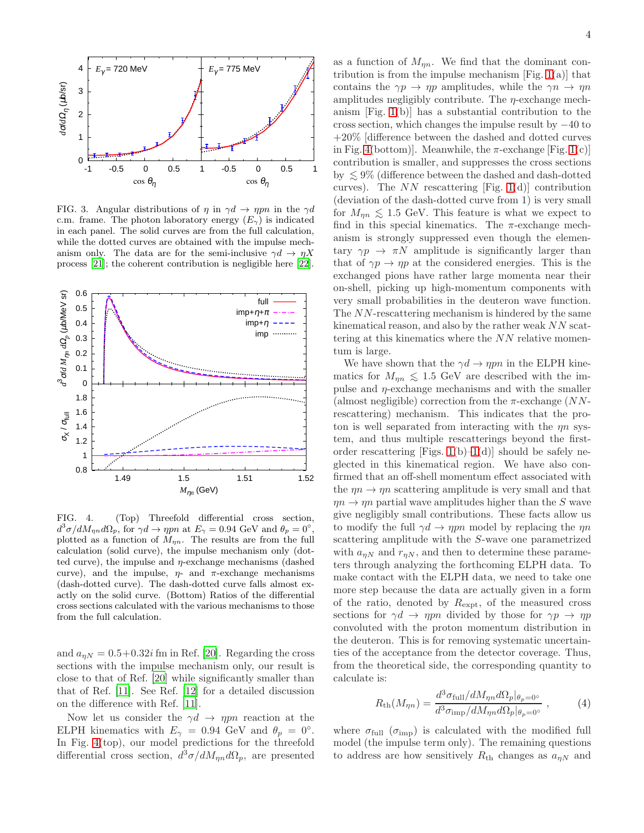

<span id="page-3-0"></span>FIG. 3. Angular distributions of  $\eta$  in  $\gamma d \to \eta pn$  in the  $\gamma d$ c.m. frame. The photon laboratory energy  $(E_{\gamma})$  is indicated in each panel. The solid curves are from the full calculation, while the dotted curves are obtained with the impulse mechanism only. The data are for the semi-inclusive  $\gamma d \to \eta X$ process [\[21\]](#page-5-20); the coherent contribution is negligible here [\[22\]](#page-5-21).



<span id="page-3-1"></span>FIG. 4. (Top) Threefold differential cross section,  $d^3\sigma/dM_{\eta n}d\Omega_p$ , for  $\gamma d \to \eta pn$  at  $E_\gamma = 0.94$  GeV and  $\theta_p = 0^{\circ}$ , plotted as a function of  $M_{\eta n}$ . The results are from the full calculation (solid curve), the impulse mechanism only (dotted curve), the impulse and  $\eta$ -exchange mechanisms (dashed curve), and the impulse,  $\eta$ - and  $\pi$ -exchange mechanisms (dash-dotted curve). The dash-dotted curve falls almost exactly on the solid curve. (Bottom) Ratios of the differential cross sections calculated with the various mechanisms to those from the full calculation.

and  $a_{\eta N} = 0.5+0.32i$  fm in Ref. [\[20](#page-5-19)]. Regarding the cross sections with the impulse mechanism only, our result is close to that of Ref. [\[20\]](#page-5-19) while significantly smaller than that of Ref. [\[11](#page-5-10)]. See Ref. [\[12](#page-5-11)] for a detailed discussion on the difference with Ref. [\[11\]](#page-5-10).

Now let us consider the  $\gamma d \rightarrow \eta pn$  reaction at the ELPH kinematics with  $E_{\gamma} = 0.94$  GeV and  $\theta_p = 0^{\circ}$ . In Fig. [4\(](#page-3-1)top), our model predictions for the threefold differential cross section,  $d^3\sigma/dM_{\eta n}d\Omega_p$ , are presented

as a function of  $M_{\eta n}$ . We find that the dominant contribution is from the impulse mechanism [Fig.  $1(a)$  $1(a)$ ] that contains the  $\gamma p \to \eta p$  amplitudes, while the  $\gamma n \to \eta n$ amplitudes negligibly contribute. The η-exchange mechanism [Fig. [1\(](#page-1-0)b)] has a substantial contribution to the cross section, which changes the impulse result by −40 to +20% [difference between the dashed and dotted curves in Fig. [4\(](#page-3-1)bottom)]. Meanwhile, the  $\pi$ -exchange [Fig. [1\(](#page-1-0)c)] contribution is smaller, and suppresses the cross sections by  $\leq 9\%$  (difference between the dashed and dash-dotted curves). The  $NN$  rescattering [Fig. [1\(](#page-1-0)d)] contribution (deviation of the dash-dotted curve from 1) is very small for  $M_{nn} \leq 1.5$  GeV. This feature is what we expect to find in this special kinematics. The  $\pi$ -exchange mechanism is strongly suppressed even though the elementary  $\gamma p \to \pi N$  amplitude is significantly larger than that of  $\gamma p \to \eta p$  at the considered energies. This is the exchanged pions have rather large momenta near their on-shell, picking up high-momentum components with very small probabilities in the deuteron wave function. The NN-rescattering mechanism is hindered by the same kinematical reason, and also by the rather weak NN scat-

We have shown that the  $\gamma d \to \eta pn$  in the ELPH kinematics for  $M_{\eta n} \lesssim 1.5$  GeV are described with the impulse and  $\eta$ -exchange mechanisms and with the smaller (almost negligible) correction from the  $\pi$ -exchange (NNrescattering) mechanism. This indicates that the proton is well separated from interacting with the  $\eta n$  system, and thus multiple rescatterings beyond the first-order rescattering [Figs. [1\(](#page-1-0)b)[–1\(](#page-1-0)d)] should be safely neglected in this kinematical region. We have also confirmed that an off-shell momentum effect associated with the  $\eta n \to \eta n$  scattering amplitude is very small and that  $\eta n \to \eta n$  partial wave amplitudes higher than the S wave give negligibly small contributions. These facts allow us to modify the full  $\gamma d \to \eta pn$  model by replacing the  $\eta n$ scattering amplitude with the S-wave one parametrized with  $a_{\eta N}$  and  $r_{\eta N}$ , and then to determine these parameters through analyzing the forthcoming ELPH data. To make contact with the ELPH data, we need to take one more step because the data are actually given in a form of the ratio, denoted by  $R_{\text{expt}}$ , of the measured cross sections for  $\gamma d \to \eta pn$  divided by those for  $\gamma p \to \eta p$ convoluted with the proton momentum distribution in the deuteron. This is for removing systematic uncertainties of the acceptance from the detector coverage. Thus, from the theoretical side, the corresponding quantity to calculate is:

tering at this kinematics where the NN relative momen-

tum is large.

<span id="page-3-2"></span>
$$
R_{\rm th}(M_{\eta n}) = \frac{d^3 \sigma_{\rm full}/dM_{\eta n} d\Omega_p|_{\theta_p=0^{\circ}}}{d^3 \sigma_{\rm imp}/dM_{\eta n} d\Omega_p|_{\theta_p=0^{\circ}}},\tag{4}
$$

where  $\sigma_{\text{full}}$  ( $\sigma_{\text{imp}}$ ) is calculated with the modified full model (the impulse term only). The remaining questions to address are how sensitively  $R_{\text{th}}$  changes as  $a_{\eta N}$  and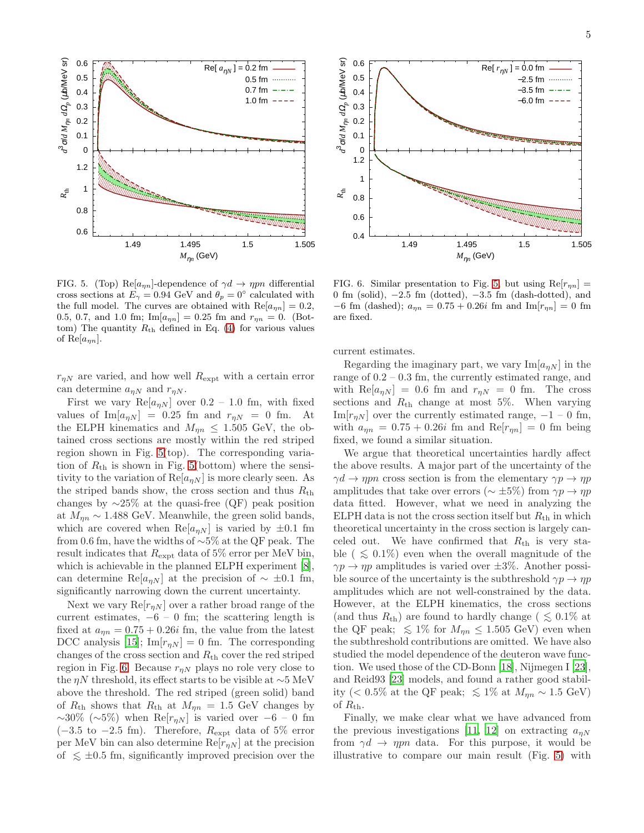

<span id="page-4-0"></span>FIG. 5. (Top) Re $[a_{\eta n}]$ -dependence of  $\gamma d \to \eta pn$  differential cross sections at  $E_{\gamma} = 0.94$  GeV and  $\theta_p = 0^{\circ}$  calculated with the full model. The curves are obtained with  $\text{Re}[a_{\eta n}] = 0.2$ , 0.5, 0.7, and 1.0 fm;  $\text{Im}[a_{\eta n}] = 0.25 \text{ fm}$  and  $r_{\eta n} = 0$ . (Bottom) The quantity  $R_{th}$  defined in Eq. [\(4\)](#page-3-2) for various values of Re $[a_{\eta n}].$ 

 $r_{nN}$  are varied, and how well  $R_{\rm expt}$  with a certain error can determine  $a_{nN}$  and  $r_{nN}$ .

First we vary  $\text{Re}[a_{\eta N}]$  over  $0.2 - 1.0$  fm, with fixed values of  $\text{Im}[a_{nN}] = 0.25$  fm and  $r_{nN} = 0$  fm. At the ELPH kinematics and  $M_{\eta n} \leq 1.505$  GeV, the obtained cross sections are mostly within the red striped region shown in Fig. [5\(](#page-4-0)top). The corresponding variation of  $R_{\text{th}}$  is shown in Fig. [5\(](#page-4-0)bottom) where the sensitivity to the variation of  $\text{Re}[a_{\eta N}]$  is more clearly seen. As the striped bands show, the cross section and thus  $R_{\text{th}}$ changes by  $\sim$ 25% at the quasi-free (QF) peak position at  $M_{nn} \sim 1.488$  GeV. Meanwhile, the green solid bands, which are covered when  $\text{Re}[a_{\eta N}]$  is varied by  $\pm 0.1$  fm from 0.6 fm, have the widths of ∼5% at the QF peak. The result indicates that  $R_{\rm expt}$  data of 5% error per MeV bin, which is achievable in the planned ELPH experiment [\[8\]](#page-5-7), can determine Re $[a_{nN}]$  at the precision of  $\sim \pm 0.1$  fm, significantly narrowing down the current uncertainty.

Next we vary  $\text{Re}[r_{\eta N}]$  over a rather broad range of the current estimates,  $-6 - 0$  fm; the scattering length is fixed at  $a_{\eta n} = 0.75 + 0.26i$  fm, the value from the latest DCC analysis [\[15\]](#page-5-12);  $\text{Im}[r_{nN}] = 0$  fm. The corresponding changes of the cross section and  $R_{th}$  cover the red striped region in Fig. [6.](#page-4-1) Because  $r_{\eta N}$  plays no role very close to the  $\eta N$  threshold, its effect starts to be visible at ~5 MeV above the threshold. The red striped (green solid) band of  $R_{\text{th}}$  shows that  $R_{\text{th}}$  at  $M_{\eta n} = 1.5$  GeV changes by  $\sim$ 30% ( $\sim$ 5%) when Re $[r_{nN}]$  is varied over −6 − 0 fm  $(-3.5 \text{ to } -2.5 \text{ fm})$ . Therefore,  $R_{\text{expt}}$  data of 5% error per MeV bin can also determine  $\text{Re}[r_{nN}]$  at the precision of  $\leq$  ±0.5 fm, significantly improved precision over the



<span id="page-4-1"></span>FIG. 6. Similar presentation to Fig. [5,](#page-4-0) but using  $Re[r_{\eta n}] =$ 0 fm (solid),  $-2.5$  fm (dotted),  $-3.5$  fm (dash-dotted), and −6 fm (dashed);  $a_{\eta n} = 0.75 + 0.26i$  fm and Im $[r_{\eta n}] = 0$  fm are fixed.

current estimates.

Regarding the imaginary part, we vary  $\text{Im}[a_{nN}]$  in the range of  $0.2 - 0.3$  fm, the currently estimated range, and with  $\text{Re}[a_{\eta N}] = 0.6$  fm and  $r_{\eta N} = 0$  fm. The cross sections and  $R_{\text{th}}$  change at most 5%. When varying Im[ $r_{\eta N}$ ] over the currently estimated range,  $-1-0$  fm, with  $a_{nn} = 0.75 + 0.26i$  fm and  $Re[r_{nn}] = 0$  fm being fixed, we found a similar situation.

We argue that theoretical uncertainties hardly affect the above results. A major part of the uncertainty of the  $\gamma d \to \eta pn$  cross section is from the elementary  $\gamma p \to \eta p$ amplitudes that take over errors ( $\sim \pm 5\%$ ) from  $\gamma p \to \eta p$ data fitted. However, what we need in analyzing the ELPH data is not the cross section itself but  $R_{th}$  in which theoretical uncertainty in the cross section is largely canceled out. We have confirmed that  $R_{th}$  is very stable (  $\leq 0.1\%$ ) even when the overall magnitude of the  $\gamma p \to \eta p$  amplitudes is varied over  $\pm 3\%$ . Another possible source of the uncertainty is the subthreshold  $\gamma p \to \eta p$ amplitudes which are not well-constrained by the data. However, at the ELPH kinematics, the cross sections (and thus  $R_{\text{th}}$ ) are found to hardly change (  $\lesssim 0.1\%$  at the QF peak;  $\leq 1\%$  for  $M_{\eta n} \leq 1.505$  GeV) even when the subthreshold contributions are omitted. We have also studied the model dependence of the deuteron wave function. We used those of the CD-Bonn [\[18\]](#page-5-17), Nijmegen I [\[23\]](#page-5-22), and Reid93 [\[23\]](#page-5-22) models, and found a rather good stability (< 0.5% at the QF peak;  $\leq 1\%$  at  $M_{\eta n} \sim 1.5$  GeV) of  $R_{\text{th}}$ .

Finally, we make clear what we have advanced from the previous investigations [\[11](#page-5-10), [12](#page-5-11)] on extracting  $a_{nN}$ from  $\gamma d \to \eta pn$  data. For this purpose, it would be illustrative to compare our main result (Fig. [5\)](#page-4-0) with